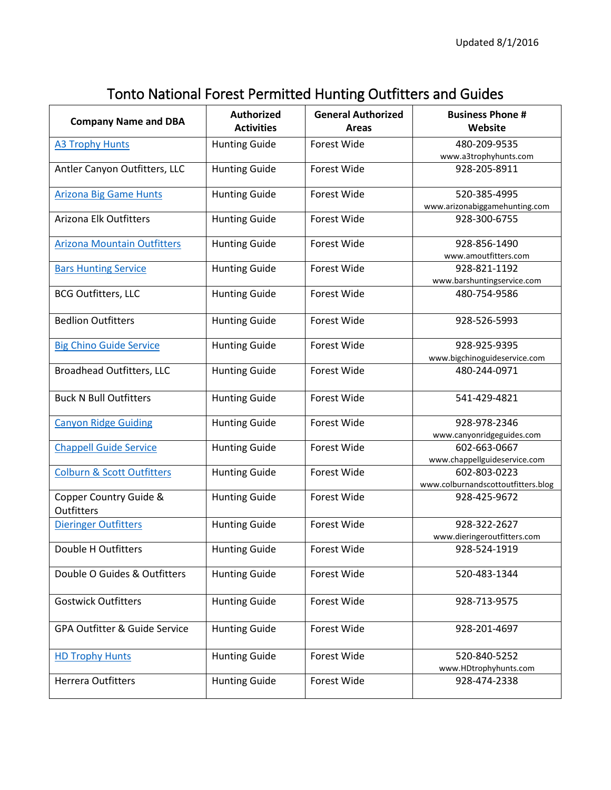## Tonto National Forest Permitted Hunting Outfitters and Guides

| <b>Company Name and DBA</b>           | <b>Authorized</b><br><b>Activities</b> | <b>General Authorized</b><br><b>Areas</b> | <b>Business Phone #</b><br>Website                 |
|---------------------------------------|----------------------------------------|-------------------------------------------|----------------------------------------------------|
| <b>A3 Trophy Hunts</b>                | <b>Hunting Guide</b>                   | Forest Wide                               | 480-209-9535<br>www.a3trophyhunts.com              |
| Antler Canyon Outfitters, LLC         | <b>Hunting Guide</b>                   | Forest Wide                               | 928-205-8911                                       |
| <b>Arizona Big Game Hunts</b>         | <b>Hunting Guide</b>                   | Forest Wide                               | 520-385-4995<br>www.arizonabiggamehunting.com      |
| Arizona Elk Outfitters                | <b>Hunting Guide</b>                   | Forest Wide                               | 928-300-6755                                       |
| <b>Arizona Mountain Outfitters</b>    | <b>Hunting Guide</b>                   | Forest Wide                               | 928-856-1490<br>www.amoutfitters.com               |
| <b>Bars Hunting Service</b>           | <b>Hunting Guide</b>                   | Forest Wide                               | 928-821-1192<br>www.barshuntingservice.com         |
| <b>BCG Outfitters, LLC</b>            | <b>Hunting Guide</b>                   | Forest Wide                               | 480-754-9586                                       |
| <b>Bedlion Outfitters</b>             | <b>Hunting Guide</b>                   | Forest Wide                               | 928-526-5993                                       |
| <b>Big Chino Guide Service</b>        | <b>Hunting Guide</b>                   | Forest Wide                               | 928-925-9395<br>www.bigchinoguideservice.com       |
| <b>Broadhead Outfitters, LLC</b>      | <b>Hunting Guide</b>                   | Forest Wide                               | 480-244-0971                                       |
| <b>Buck N Bull Outfitters</b>         | <b>Hunting Guide</b>                   | Forest Wide                               | 541-429-4821                                       |
| <b>Canyon Ridge Guiding</b>           | <b>Hunting Guide</b>                   | Forest Wide                               | 928-978-2346<br>www.canyonridgeguides.com          |
| <b>Chappell Guide Service</b>         | <b>Hunting Guide</b>                   | Forest Wide                               | 602-663-0667<br>www.chappellguideservice.com       |
| <b>Colburn &amp; Scott Outfitters</b> | <b>Hunting Guide</b>                   | Forest Wide                               | 602-803-0223<br>www.colburnandscottoutfitters.blog |
| Copper Country Guide &<br>Outfitters  | <b>Hunting Guide</b>                   | Forest Wide                               | 928-425-9672                                       |
| <b>Dieringer Outfitters</b>           | <b>Hunting Guide</b>                   | Forest Wide                               | 928-322-2627<br>www.dieringeroutfitters.com        |
| Double H Outfitters                   | <b>Hunting Guide</b>                   | Forest Wide                               | 928-524-1919                                       |
| Double O Guides & Outfitters          | <b>Hunting Guide</b>                   | Forest Wide                               | 520-483-1344                                       |
| <b>Gostwick Outfitters</b>            | <b>Hunting Guide</b>                   | Forest Wide                               | 928-713-9575                                       |
| GPA Outfitter & Guide Service         | <b>Hunting Guide</b>                   | Forest Wide                               | 928-201-4697                                       |
| <b>HD Trophy Hunts</b>                | <b>Hunting Guide</b>                   | Forest Wide                               | 520-840-5252<br>www.HDtrophyhunts.com              |
| <b>Herrera Outfitters</b>             | <b>Hunting Guide</b>                   | Forest Wide                               | 928-474-2338                                       |